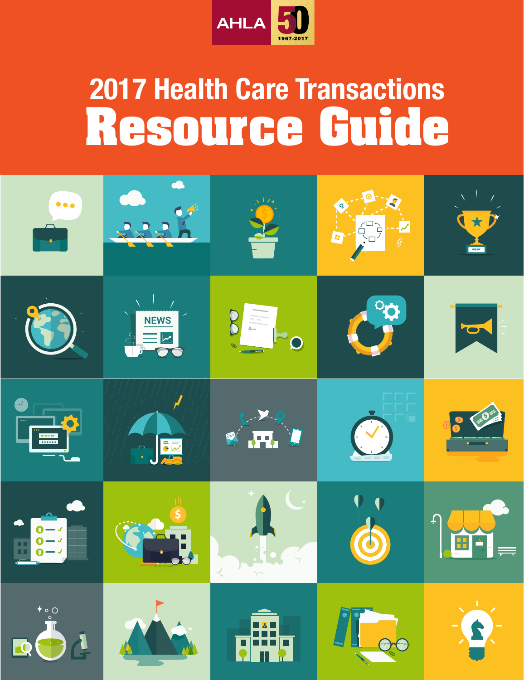

# **2017 Health Care Transactions<br>Resource Guide Resource**

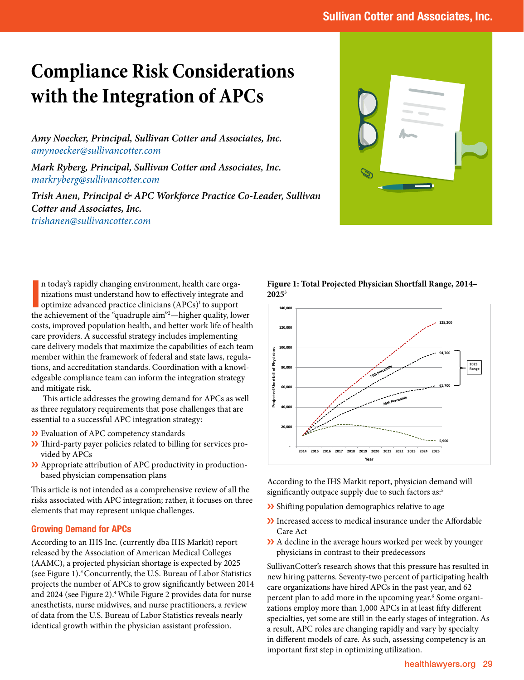## **Compliance Risk Considerations with the Integration of APCs**

*Amy Noecker, Principal, Sullivan Cotter and Associates, Inc. [amynoecker@sullivancotter.com](mailto:amynoecker%40sullivancotter.com?subject=)*

*Mark Ryberg, Principal, Sullivan Cotter and Associates, Inc. [markryberg@sullivancotter.com](mailto:markryberg%40sullivancotter.com?subject=)*

*Trish Anen, Principal & APC Workforce Practice Co-Leader, Sullivan Cotter and Associates, Inc. [trishanen@sullivancotter.com](mailto:trishanen%40sullivancotter.com?subject=)*



In today's rapidly changing environment, health care organizations must understand how to effectively integrate and optimize advanced practice clinicians (APCs)<sup>1</sup> to support the achievement of the "quadruple aim"<sup>2</sup>—high n today's rapidly changing environment, health care organizations must understand how to effectively integrate and optimize advanced practice clinicians (APCs)<sup>1</sup> to support costs, improved population health, and better work life of health care providers. A successful strategy includes implementing care delivery models that maximize the capabilities of each team member within the framework of federal and state laws, regulations, and accreditation standards. Coordination with a knowledgeable compliance team can inform the integration strategy and mitigate risk.

This article addresses the growing demand for APCs as well as three regulatory requirements that pose challenges that are essential to a successful APC integration strategy:

- ❯❯ Evaluation of APC competency standards
- ❯❯ Third-party payer policies related to billing for services provided by APCs
- >>>>>>> Appropriate attribution of APC productivity in productionbased physician compensation plans

This article is not intended as a comprehensive review of all the risks associated with APC integration; rather, it focuses on three elements that may represent unique challenges.

#### Growing Demand for APCs

According to an IHS Inc. (currently dba IHS Markit) report released by the Association of American Medical Colleges (AAMC), a projected physician shortage is expected by 2025 (see Figure 1).3 Concurrently, the U.S. Bureau of Labor Statistics projects the number of APCs to grow significantly between 2014 and 2024 (see Figure 2).<sup>4</sup> While Figure 2 provides data for nurse anesthetists, nurse midwives, and nurse practitioners, a review of data from the U.S. Bureau of Labor Statistics reveals nearly identical growth within the physician assistant profession.

**Figure 1: Total Projected Physician Shortfall Range, 2014– 2025**<sup>3</sup>



According to the IHS Markit report, physician demand will significantly outpace supply due to such factors as:<sup>5</sup>

- ❯❯ Shifting population demographics relative to age
- >> Increased access to medical insurance under the Affordable Care Act
- X A decline in the average hours worked per week by younger physicians in contrast to their predecessors

SullivanCotter's research shows that this pressure has resulted in new hiring patterns. Seventy-two percent of participating health care organizations have hired APCs in the past year, and 62 percent plan to add more in the upcoming year.<sup>6</sup> Some organizations employ more than 1,000 APCs in at least fifty different specialties, yet some are still in the early stages of integration. As a result, APC roles are changing rapidly and vary by specialty in different models of care. As such, assessing competency is an important first step in optimizing utilization.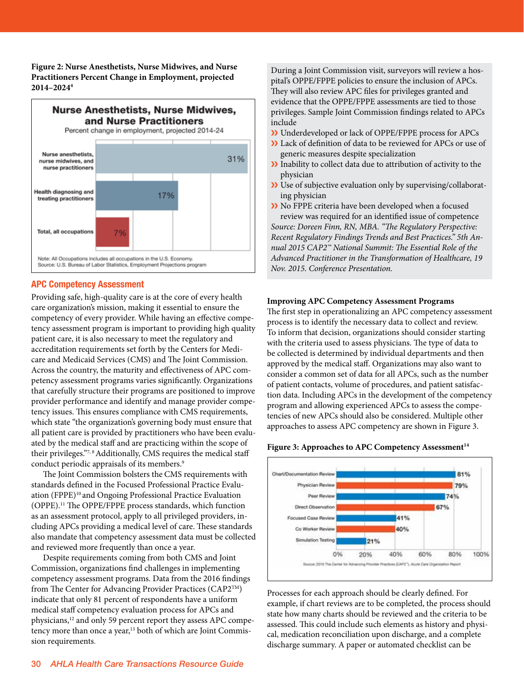**Figure 2: Nurse Anesthetists, Nurse Midwives, and Nurse Practitioners Percent Change in Employment, projected 2014–20244**



#### APC Competency Assessment

Providing safe, high-quality care is at the core of every health care organization's mission, making it essential to ensure the competency of every provider. While having an effective competency assessment program is important to providing high quality patient care, it is also necessary to meet the regulatory and accreditation requirements set forth by the Centers for Medicare and Medicaid Services (CMS) and The Joint Commission. Across the country, the maturity and effectiveness of APC competency assessment programs varies significantly. Organizations that carefully structure their programs are positioned to improve provider performance and identify and manage provider competency issues. This ensures compliance with CMS requirements, which state "the organization's governing body must ensure that all patient care is provided by practitioners who have been evaluated by the medical staff and are practicing within the scope of their privileges."7,8 Additionally, CMS requires the medical staff conduct periodic appraisals of its members.<sup>9</sup>

The Joint Commission bolsters the CMS requirements with standards defined in the Focused Professional Practice Evaluation (FPPE)<sup>10</sup> and Ongoing Professional Practice Evaluation (OPPE).11 The OPPE/FPPE process standards, which function as an assessment protocol, apply to all privileged providers, including APCs providing a medical level of care. These standards also mandate that competency assessment data must be collected and reviewed more frequently than once a year.

Despite requirements coming from both CMS and Joint Commission, organizations find challenges in implementing competency assessment programs. Data from the 2016 findings from The Center for Advancing Provider Practices (CAP2TM) indicate that only 81 percent of respondents have a uniform medical staff competency evaluation process for APCs and physicians,<sup>12</sup> and only 59 percent report they assess APC competency more than once a year,<sup>13</sup> both of which are Joint Commission requirements.

During a Joint Commission visit, surveyors will review a hospital's OPPE/FPPE policies to ensure the inclusion of APCs. They will also review APC files for privileges granted and evidence that the OPPE/FPPE assessments are tied to those privileges. Sample Joint Commission findings related to APCs include

- ❯❯ Underdeveloped or lack of OPPE/FPPE process for APCs
- X Lack of definition of data to be reviewed for APCs or use of generic measures despite specialization
- ❯❯ Inability to collect data due to attribution of activity to the physician
- ❯❯ Use of subjective evaluation only by supervising/collaborating physician
- ❯❯ No FPPE criteria have been developed when a focused review was required for an identified issue of competence

*Source: Doreen Finn, RN, MBA. "The Regulatory Perspective: Recent Regulatory Findings Trends and Best Practices." 5th Annual 2015 CAP2™ National Summit: The Essential Role of the Advanced Practitioner in the Transformation of Healthcare, 19 Nov. 2015. Conference Presentation.*

#### **Improving APC Competency Assessment Programs**

The first step in operationalizing an APC competency assessment process is to identify the necessary data to collect and review. To inform that decision, organizations should consider starting with the criteria used to assess physicians. The type of data to be collected is determined by individual departments and then approved by the medical staff. Organizations may also want to consider a common set of data for all APCs, such as the number of patient contacts, volume of procedures, and patient satisfaction data. Including APCs in the development of the competency program and allowing experienced APCs to assess the competencies of new APCs should also be considered. Multiple other approaches to assess APC competency are shown in Figure 3.





Processes for each approach should be clearly defined. For example, if chart reviews are to be completed, the process should state how many charts should be reviewed and the criteria to be assessed. This could include such elements as history and physical, medication reconciliation upon discharge, and a complete discharge summary. A paper or automated checklist can be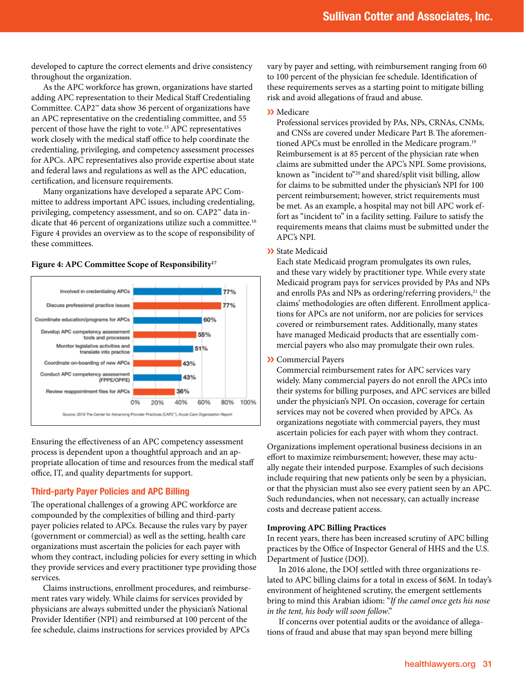developed to capture the correct elements and drive consistency throughout the organization.

As the APC workforce has grown, organizations have started adding APC representation to their Medical Staff Credentialing Committee. CAP2™ data show 36 percent of organizations have an APC representative on the credentialing committee, and 55 percent of those have the right to vote.15 APC representatives work closely with the medical staff office to help coordinate the credentialing, privileging, and competency assessment processes for APCs. APC representatives also provide expertise about state and federal laws and regulations as well as the APC education, certification, and licensure requirements.

Many organizations have developed a separate APC Committee to address important APC issues, including credentialing, privileging, competency assessment, and so on. CAP2™ data indicate that 46 percent of organizations utilize such a committee.<sup>16</sup> Figure 4 provides an overview as to the scope of responsibility of these committees.

Figure 4: APC Committee Scope of Responsibility<sup>17</sup>



Ensuring the effectiveness of an APC competency assessment process is dependent upon a thoughtful approach and an appropriate allocation of time and resources from the medical staff office, IT, and quality departments for support.

#### Third-party Payer Policies and APC Billing

The operational challenges of a growing APC workforce are compounded by the complexities of billing and third-party payer policies related to APCs. Because the rules vary by payer (government or commercial) as well as the setting, health care organizations must ascertain the policies for each payer with whom they contract, including policies for every setting in which they provide services and every practitioner type providing those services.

Claims instructions, enrollment procedures, and reimbursement rates vary widely. While claims for services provided by physicians are always submitted under the physician's National Provider Identifier (NPI) and reimbursed at 100 percent of the fee schedule, claims instructions for services provided by APCs

vary by payer and setting, with reimbursement ranging from 60 to 100 percent of the physician fee schedule. Identification of these requirements serves as a starting point to mitigate billing risk and avoid allegations of fraud and abuse.

#### ❯❯ Medicare

Professional services provided by PAs, NPs, CRNAs, CNMs, and CNSs are covered under Medicare Part B.The aforementioned APCs must be enrolled in the Medicare program.<sup>19</sup> Reimbursement is at 85 percent of the physician rate when claims are submitted under the APC's NPI. Some provisions, known as "incident to"20 and shared/split visit billing, allow for claims to be submitted under the physician's NPI for 100 percent reimbursement; however, strict requirements must be met. As an example, a hospital may not bill APC work effort as "incident to" in a facility setting. Failure to satisfy the requirements means that claims must be submitted under the APC's NPI.

❯❯ State Medicaid

Each state Medicaid program promulgates its own rules, and these vary widely by practitioner type. While every state Medicaid program pays for services provided by PAs and NPs and enrolls PAs and NPs as ordering/referring providers,<sup>21</sup> the claims' methodologies are often different. Enrollment applications for APCs are not uniform, nor are policies for services covered or reimbursement rates. Additionally, many states have managed Medicaid products that are essentially commercial payers who also may promulgate their own rules.

❯❯ Commercial Payers

Commercial reimbursement rates for APC services vary widely. Many commercial payers do not enroll the APCs into their systems for billing purposes, and APC services are billed under the physician's NPI. On occasion, coverage for certain services may not be covered when provided by APCs. As organizations negotiate with commercial payers, they must ascertain policies for each payer with whom they contract.

Organizations implement operational business decisions in an effort to maximize reimbursement; however, these may actually negate their intended purpose. Examples of such decisions include requiring that new patients only be seen by a physician, or that the physician must also see every patient seen by an APC. Such redundancies, when not necessary, can actually increase costs and decrease patient access.

#### **Improving APC Billing Practices**

In recent years, there has been increased scrutiny of APC billing practices by the Office of Inspector General of HHS and the U.S. Department of Justice (DOJ).

In 2016 alone, the DOJ settled with three organizations related to APC billing claims for a total in excess of \$6M. In today's environment of heightened scrutiny, the emergent settlements bring to mind this Arabian idiom: "*If the camel once gets his nose in the tent, his body will soon follow*."

If concerns over potential audits or the avoidance of allegations of fraud and abuse that may span beyond mere billing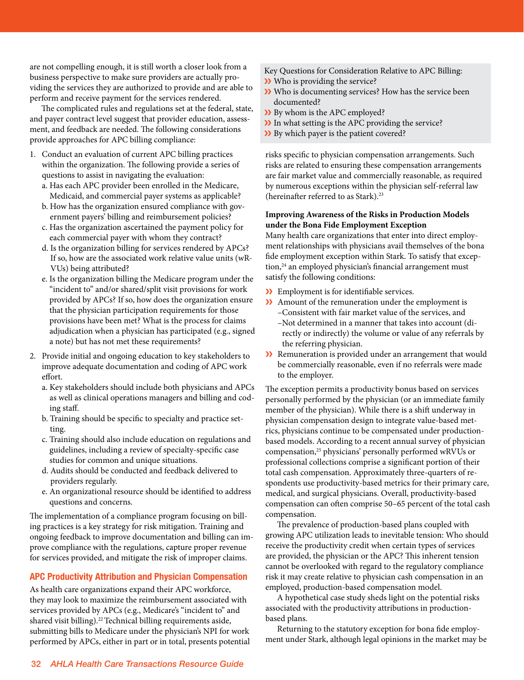are not compelling enough, it is still worth a closer look from a business perspective to make sure providers are actually providing the services they are authorized to provide and are able to perform and receive payment for the services rendered.

The complicated rules and regulations set at the federal, state, and payer contract level suggest that provider education, assessment, and feedback are needed. The following considerations provide approaches for APC billing compliance:

- 1. Conduct an evaluation of current APC billing practices within the organization. The following provide a series of questions to assist in navigating the evaluation:
	- a. Has each APC provider been enrolled in the Medicare, Medicaid, and commercial payer systems as applicable?
	- b. How has the organization ensured compliance with government payers' billing and reimbursement policies?
	- c. Has the organization ascertained the payment policy for each commercial payer with whom they contract?
	- d. Is the organization billing for services rendered by APCs? If so, how are the associated work relative value units (wR-VUs) being attributed?
	- e. Is the organization billing the Medicare program under the "incident to" and/or shared/split visit provisions for work provided by APCs? If so, how does the organization ensure that the physician participation requirements for those provisions have been met? What is the process for claims adjudication when a physician has participated (e.g., signed a note) but has not met these requirements?
- 2. Provide initial and ongoing education to key stakeholders to improve adequate documentation and coding of APC work effort.
	- a. Key stakeholders should include both physicians and APCs as well as clinical operations managers and billing and coding staff.
	- b. Training should be specific to specialty and practice setting.
	- c. Training should also include education on regulations and guidelines, including a review of specialty-specific case studies for common and unique situations.
	- d. Audits should be conducted and feedback delivered to providers regularly.
	- e. An organizational resource should be identified to address questions and concerns.

The implementation of a compliance program focusing on billing practices is a key strategy for risk mitigation. Training and ongoing feedback to improve documentation and billing can improve compliance with the regulations, capture proper revenue for services provided, and mitigate the risk of improper claims.

### APC Productivity Attribution and Physician Compensation

As health care organizations expand their APC workforce, they may look to maximize the reimbursement associated with services provided by APCs (e.g., Medicare's "incident to" and shared visit billing).<sup>22</sup> Technical billing requirements aside, submitting bills to Medicare under the physician's NPI for work performed by APCs, either in part or in total, presents potential

- Key Questions for Consideration Relative to APC Billing:
- ❯❯ Who is providing the service?
- ❯❯ Who is documenting services? How has the service been documented?
- X By whom is the APC employed?
- ❯❯ In what setting is the APC providing the service?
- ❯❯ By which payer is the patient covered?

risks specific to physician compensation arrangements. Such risks are related to ensuring these compensation arrangements are fair market value and commercially reasonable, as required by numerous exceptions within the physician self-referral law (hereinafter referred to as Stark).<sup>23</sup>

#### **Improving Awareness of the Risks in Production Models under the Bona Fide Employment Exception**

Many health care organizations that enter into direct employment relationships with physicians avail themselves of the bona fide employment exception within Stark. To satisfy that exception,<sup>24</sup> an employed physician's financial arrangement must satisfy the following conditions:

- ❯❯ Employment is for identifiable services.
- X Amount of the remuneration under the employment is –Consistent with fair market value of the services, and –Not determined in a manner that takes into account (directly or indirectly) the volume or value of any referrals by the referring physician.
- >> Remuneration is provided under an arrangement that would be commercially reasonable, even if no referrals were made to the employer.

The exception permits a productivity bonus based on services personally performed by the physician (or an immediate family member of the physician). While there is a shift underway in physician compensation design to integrate value-based metrics, physicians continue to be compensated under productionbased models. According to a recent annual survey of physician compensation,25 physicians' personally performed wRVUs or professional collections comprise a significant portion of their total cash compensation. Approximately three-quarters of respondents use productivity-based metrics for their primary care, medical, and surgical physicians. Overall, productivity-based compensation can often comprise 50–65 percent of the total cash compensation.

The prevalence of production-based plans coupled with growing APC utilization leads to inevitable tension: Who should receive the productivity credit when certain types of services are provided, the physician or the APC? This inherent tension cannot be overlooked with regard to the regulatory compliance risk it may create relative to physician cash compensation in an employed, production-based compensation model.

A hypothetical case study sheds light on the potential risks associated with the productivity attributions in productionbased plans.

Returning to the statutory exception for bona fide employment under Stark, although legal opinions in the market may be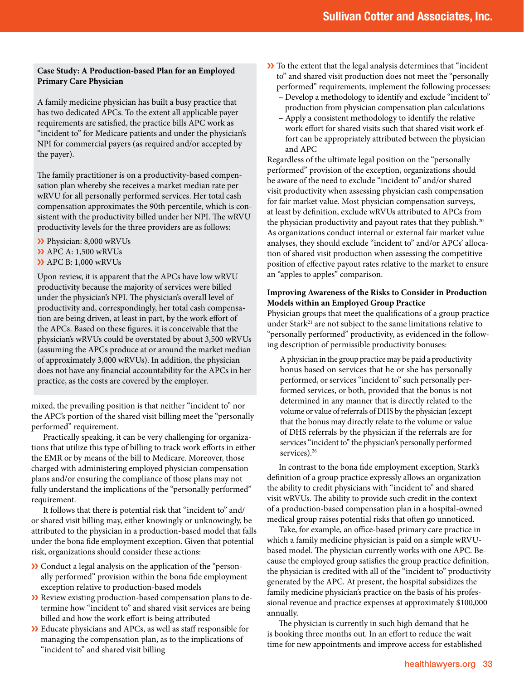#### **Case Study: A Production-based Plan for an Employed Primary Care Physician**

A family medicine physician has built a busy practice that has two dedicated APCs. To the extent all applicable payer requirements are satisfied, the practice bills APC work as "incident to" for Medicare patients and under the physician's NPI for commercial payers (as required and/or accepted by the payer).

The family practitioner is on a productivity-based compensation plan whereby she receives a market median rate per wRVU for all personally performed services. Her total cash compensation approximates the 90th percentile, which is consistent with the productivity billed under her NPI. The wRVU productivity levels for the three providers are as follows:

>> Physician: 8,000 wRVUs

- >> APC A: 1,500 wRVUs
- >> APC B: 1,000 wRVUs

Upon review, it is apparent that the APCs have low wRVU productivity because the majority of services were billed under the physician's NPI. The physician's overall level of productivity and, correspondingly, her total cash compensation are being driven, at least in part, by the work effort of the APCs. Based on these figures, it is conceivable that the physician's wRVUs could be overstated by about 3,500 wRVUs (assuming the APCs produce at or around the market median of approximately 3,000 wRVUs). In addition, the physician does not have any financial accountability for the APCs in her practice, as the costs are covered by the employer.

mixed, the prevailing position is that neither "incident to" nor the APC's portion of the shared visit billing meet the "personally performed" requirement.

Practically speaking, it can be very challenging for organizations that utilize this type of billing to track work efforts in either the EMR or by means of the bill to Medicare. Moreover, those charged with administering employed physician compensation plans and/or ensuring the compliance of those plans may not fully understand the implications of the "personally performed" requirement.

It follows that there is potential risk that "incident to" and/ or shared visit billing may, either knowingly or unknowingly, be attributed to the physician in a production-based model that falls under the bona fide employment exception. Given that potential risk, organizations should consider these actions:

- >> Conduct a legal analysis on the application of the "personally performed" provision within the bona fide employment exception relative to production-based models
- X Review existing production-based compensation plans to determine how "incident to" and shared visit services are being billed and how the work effort is being attributed
- ❯❯ Educate physicians and APCs, as well as staff responsible for managing the compensation plan, as to the implications of "incident to" and shared visit billing
- >> To the extent that the legal analysis determines that "incident" to" and shared visit production does not meet the "personally performed" requirements, implement the following processes:
	- Develop a methodology to identify and exclude "incident to" production from physician compensation plan calculations
	- Apply a consistent methodology to identify the relative work effort for shared visits such that shared visit work effort can be appropriately attributed between the physician and APC

Regardless of the ultimate legal position on the "personally performed" provision of the exception, organizations should be aware of the need to exclude "incident to" and/or shared visit productivity when assessing physician cash compensation for fair market value. Most physician compensation surveys, at least by definition, exclude wRVUs attributed to APCs from the physician productivity and payout rates that they publish.<sup>20</sup> As organizations conduct internal or external fair market value analyses, they should exclude "incident to" and/or APCs' allocation of shared visit production when assessing the competitive position of effective payout rates relative to the market to ensure an "apples to apples" comparison.

#### **Improving Awareness of the Risks to Consider in Production Models within an Employed Group Practice**

Physician groups that meet the qualifications of a group practice under Stark<sup>21</sup> are not subject to the same limitations relative to "personally performed" productivity, as evidenced in the following description of permissible productivity bonuses:

A [physician in the group practice](https://www.law.cornell.edu/definitions/index.php?width=840&height=800&iframe=true&def_id=2da9f67968f0c2e004e02b5665aa60a8&term_occur=2&term_src=Title:42:Chapter:IV:Subchapter:B:Part:411:Subpart:J:411.352) may be paid a productivity bonus based on services that he or she has personally performed, or services "incident to" such personally performed services, or both, provided that the bonus is not determined in any manner that is directly related to the volume or value of referrals of DHS by the physician (except that the bonus may directly relate to the volume or value of DHS [referrals](https://www.law.cornell.edu/definitions/index.php?width=840&height=800&iframe=true&def_id=eecfe65f73a9abd86658ee25db6c1cb0&term_occur=3&term_src=Title:42:Chapter:IV:Subchapter:B:Part:411:Subpart:J:411.352) by the physician if the [referrals](https://www.law.cornell.edu/definitions/index.php?width=840&height=800&iframe=true&def_id=eecfe65f73a9abd86658ee25db6c1cb0&term_occur=4&term_src=Title:42:Chapter:IV:Subchapter:B:Part:411:Subpart:J:411.352) are for services "incident to" the [physician](https://www.law.cornell.edu/definitions/index.php?width=840&height=800&iframe=true&def_id=8f46c357d9272af81c283fe0f6c0d3da&term_occur=19&term_src=Title:42:Chapter:IV:Subchapter:B:Part:411:Subpart:J:411.352)'s personally performed services).<sup>26</sup>

In contrast to the bona fide employment exception, Stark's definition of a group practice expressly allows an organization the ability to credit physicians with "incident to" and shared visit wRVUs. The ability to provide such credit in the context of a production-based compensation plan in a hospital-owned medical group raises potential risks that often go unnoticed.

Take, for example, an office-based primary care practice in which a family medicine physician is paid on a simple wRVUbased model. The physician currently works with one APC. Because the employed group satisfies the group practice definition, the physician is credited with all of the "incident to" productivity generated by the APC. At present, the hospital subsidizes the family medicine physician's practice on the basis of his professional revenue and practice expenses at approximately \$100,000 annually.

The physician is currently in such high demand that he is booking three months out. In an effort to reduce the wait time for new appointments and improve access for established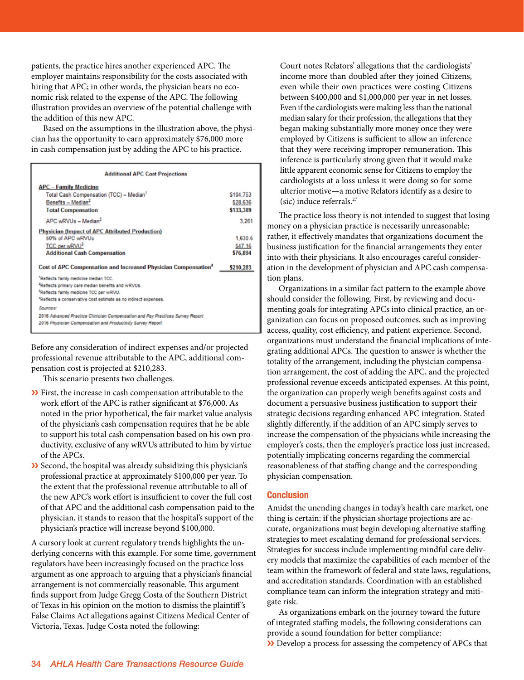patients, the practice hires another experienced APC. The employer maintains responsibility for the costs associated with hiring that APC; in other words, the physician bears no economic risk related to the expense of the APC. The following illustration provides an overview of the potential challenge with the addition of this new APC. medication provided an overview or the potential endingly with

Based on the assumptions in the illustration above, the physician has the opportunity to earn approximately \$76,000 more in cash compensation just by adding the APC to his practice.

| <b>Additional APC Cost Projections</b>                                                                                                                                                                                       |                                            |
|------------------------------------------------------------------------------------------------------------------------------------------------------------------------------------------------------------------------------|--------------------------------------------|
| <b>APC - Family Medicine</b><br>Total Cash Compensation (TCC) - Median1<br>Benefits - Median <sup>2</sup><br><b>Total Compensation</b>                                                                                       | \$104,753<br>\$28,636<br>\$133,389         |
| $APC$ wRVUs $=$ Median <sup>2</sup>                                                                                                                                                                                          | 3.261                                      |
| <b>Physician (Impact of APC Attributed Production)</b><br>50% of APC wRVUs<br>TCC per wRVU <sup>3</sup><br><b>Additional Cash Compensation</b><br>Cost of APC Compensation and Increased Physician Compensation <sup>4</sup> | 1.630.5<br>S47.16<br>\$76,894<br>\$210,283 |
| Reflects family medicine median TCC.                                                                                                                                                                                         |                                            |
| <sup>2</sup> Reflects primary care median benefits and wRVUs.                                                                                                                                                                |                                            |
| Reflects family medicine TCC per wRVU.                                                                                                                                                                                       |                                            |
| *Reflects a conservative cost estimate as no indirect expenses.                                                                                                                                                              |                                            |
| Sources:                                                                                                                                                                                                                     |                                            |
| 2016 Advanced Practice Clinician Compensation and Pay Practices Survey Report<br>2016 Physician Compensation and Productivity Survey Report                                                                                  |                                            |

Before any consideration of indirect expenses and/or projected professional revenue attributable to the APC, additional compersoderative control attributable to the APC, additional compensation cost is projected at \$210,283. Before any consideration of munect expenses and/or projector

This scenario presents two challenges. This scenario presents two challenges.

- $\sum$  First, the increase in cash compensation attributable to the work effort of the APC is rather significant at \$76,000. As noted in the prior hypothetical, the fair market value analysis of the physician's cash compensation requires that he be able to support his total cash compensation based on his own productivity, exclusive of any wRVUs attributed to him by virtue of the APCs.
	- ❯❯ Second, the hospital was already subsidizing this physician's professional practice at approximately \$100,000 per year. To the extent that the professional revenue attributable to all of the new APC's work effort is insufficient to cover the full cost of that APC and the additional cash compensation paid to the physician, it stands to reason that the hospital's support of the physician's practice will increase beyond \$100,000.

A cursory look at current regulatory trends highlights the underlying concerns with this example. For some time, government regulators have been increasingly focused on the practice loss argument as one approach to arguing that a physician's financial arrangement is not commercially reasonable. This argument finds support from Judge Gregg Costa of the Southern District of Texas in his opinion on the motion to dismiss the plaintiff 's False Claims Act allegations against Citizens Medical Center of Victoria, Texas. Judge Costa noted the following:

Court notes Relators' allegations that the cardiologists' income more than doubled after they joined Citizens, even while their own practices were costing Citizens between \$400,000 and \$1,000,000 per year in net losses. Even if the cardiologists were making less than the national median salary for their profession, the allegations that they began making substantially more money once they were employed by Citizens is sufficient to allow an inference that they were receiving improper remuneration. This inference is particularly strong given that it would make little apparent economic sense for Citizens to employ the cardiologists at a loss unless it were doing so for some ulterior motive—a motive Relators identify as a desire to (sic) induce referrals.27

The practice loss theory is not intended to suggest that losing money on a physician practice is necessarily unreasonable; rather, it effectively mandates that organizations document the business justification for the financial arrangements they enter into with their physicians. It also encourages careful consideration in the development of physician and APC cash compensation plans.

Organizations in a similar fact pattern to the example above should consider the following. First, by reviewing and documenting goals for integrating APCs into clinical practice, an organization can focus on proposed outcomes, such as improving access, quality, cost efficiency, and patient experience. Second, organizations must understand the financial implications of integrating additional APCs. The question to answer is whether the totality of the arrangement, including the physician compensation arrangement, the cost of adding the APC, and the projected professional revenue exceeds anticipated expenses. At this point, the organization can properly weigh benefits against costs and document a persuasive business justification to support their strategic decisions regarding enhanced APC integration. Stated slightly differently, if the addition of an APC simply serves to increase the compensation of the physicians while increasing the employer's costs, then the employer's practice loss just increased, potentially implicating concerns regarding the commercial reasonableness of that staffing change and the corresponding physician compensation.

#### **Conclusion**

Amidst the unending changes in today's health care market, one thing is certain: if the physician shortage projections are accurate, organizations must begin developing alternative staffing strategies to meet escalating demand for professional services. Strategies for success include implementing mindful care delivery models that maximize the capabilities of each member of the team within the framework of federal and state laws, regulations, and accreditation standards. Coordination with an established compliance team can inform the integration strategy and mitigate risk.

As organizations embark on the journey toward the future of integrated staffing models, the following considerations can provide a sound foundation for better compliance: X Develop a process for assessing the competency of APCs that